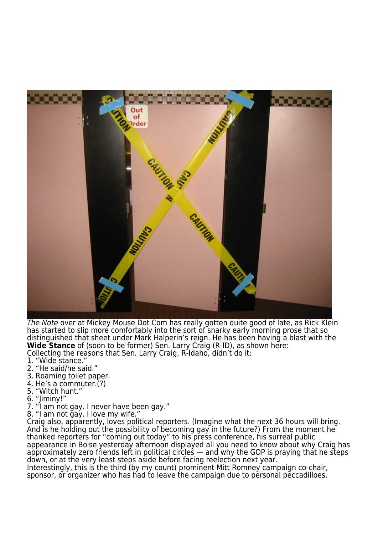

The Note over at Mickey Mouse Dot Com has really gotten quite good of late, as Rick Klein has started to slip more comfortably into the sort of snarky early morning prose that so distinguished that sheet under Mark Halperin's reign. He has been having a blast with the **Wide Stance** of (soon to be former) Sen. Larry Craig (R-ID), as shown here: Collecting the reasons that Sen. Larry Craig, R-Idaho, didn't do it:

- 1. "Wide stance."
- 2. "He said/he said."
- 3. Roaming toilet paper.
- 4. He's a commuter.(?)
- 5. "Witch hunt."
- 6. "Jiminy!"
- 7. "I am not gay. I never have been gay."
- 8. "I am not gay. I love my wife."

Craig also, apparently, loves political reporters. (Imagine what the next 36 hours will bring. And is he holding out the possibility of becoming gay in the future?) From the moment he thanked reporters for "coming out today" to his press conference, his surreal public appearance in Boise yesterday afternoon displayed all you need to know about why Craig has approximately zero friends left in political circles — and why the GOP is praying that he steps down, or at the very least steps aside before facing reelection next year. Interestingly, this is the third (by my count) prominent Mitt Romney campaign co-chair,

sponsor, or organizer who has had to leave the campaign due to personal peccadilloes.